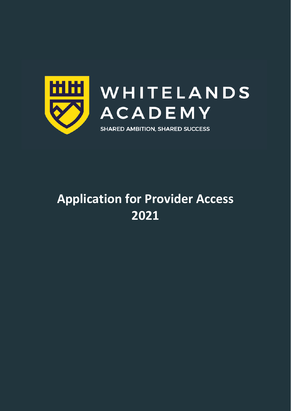

# **Application for Provider Access 2021**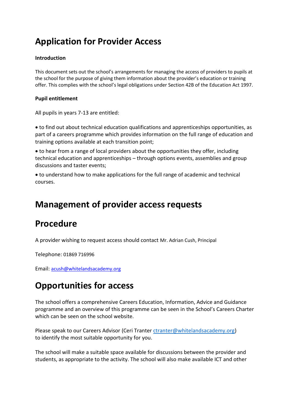# **Application for Provider Access**

#### **Introduction**

This document sets out the school's arrangements for managing the access of providers to pupils at the school for the purpose of giving them information about the provider's education or training offer. This complies with the school's legal obligations under Section 42B of the Education Act 1997.

#### **Pupil entitlement**

All pupils in years 7-13 are entitled:

• to find out about technical education qualifications and apprenticeships opportunities, as part of a careers programme which provides information on the full range of education and training options available at each transition point;

• to hear from a range of local providers about the opportunities they offer, including technical education and apprenticeships – through options events, assemblies and group discussions and taster events;

• to understand how to make applications for the full range of academic and technical courses.

# **Management of provider access requests**

# **Procedure**

A provider wishing to request access should contact Mr. Adrian Cush, Principal

Telephone: 01869 716996

Email: [acush@whitelandsacademy.org](mailto:acush@whitelandsacademy.org)

# **Opportunities for access**

The school offers a comprehensive Careers Education, Information, Advice and Guidance programme and an overview of this programme can be seen in the School's Careers Charter which can be seen on the school website.

Please speak to our Careers Advisor (Ceri Tranter [ctranter@whitelandsacademy.org\)](mailto:ctranter@whitelandsacademy.org) to identify the most suitable opportunity for you.

The school will make a suitable space available for discussions between the provider and students, as appropriate to the activity. The school will also make available ICT and other